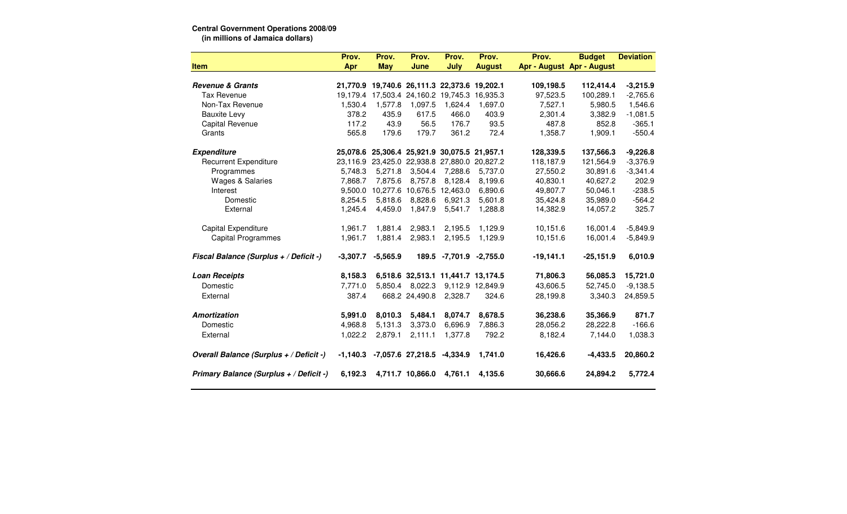## **Central Government Operations 2008/09 (in millions of Jamaica dollars)**

|                                         | Prov.      | Prov.                                        | Prov.                              | Prov.                   | Prov.            | Prov.       | <b>Budget</b>             | <b>Deviation</b> |
|-----------------------------------------|------------|----------------------------------------------|------------------------------------|-------------------------|------------------|-------------|---------------------------|------------------|
| <b>Item</b>                             | Apr        | <b>May</b>                                   | June                               | July                    | <b>August</b>    |             | Apr - August Apr - August |                  |
|                                         |            |                                              |                                    |                         |                  |             |                           |                  |
| <b>Revenue &amp; Grants</b>             |            | 21,770.9 19,740.6 26,111.3 22,373.6 19,202.1 |                                    |                         |                  | 109,198.5   | 112,414.4                 | $-3,215.9$       |
| <b>Tax Revenue</b>                      |            | 19,179.4 17,503.4 24,160.2 19,745.3 16,935.3 |                                    |                         |                  | 97,523.5    | 100,289.1                 | $-2,765.6$       |
| Non-Tax Revenue                         | 1,530.4    | 1,577.8                                      | 1,097.5                            | 1,624.4                 | 1,697.0          | 7,527.1     | 5,980.5                   | 1,546.6          |
| <b>Bauxite Levy</b>                     | 378.2      | 435.9                                        | 617.5                              | 466.0                   | 403.9            | 2,301.4     | 3,382.9                   | $-1,081.5$       |
| Capital Revenue                         | 117.2      | 43.9                                         | 56.5                               | 176.7                   | 93.5             | 487.8       | 852.8                     | $-365.1$         |
| Grants                                  | 565.8      | 179.6                                        | 179.7                              | 361.2                   | 72.4             | 1,358.7     | 1,909.1                   | $-550.4$         |
| <b>Expenditure</b>                      | 25,078.6   | 25,306.4 25,921.9 30,075.5 21,957.1          |                                    |                         |                  | 128,339.5   | 137,566.3                 | $-9,226.8$       |
| <b>Recurrent Expenditure</b>            | 23,116.9   |                                              | 23,425.0 22,938.8 27,880.0         |                         | 20,827.2         | 118,187.9   | 121,564.9                 | $-3,376.9$       |
| Programmes                              | 5,748.3    | 5,271.8                                      | 3,504.4                            | 7,288.6                 | 5,737.0          | 27,550.2    | 30,891.6                  | $-3,341.4$       |
| <b>Wages &amp; Salaries</b>             | 7,868.7    | 7,875.6                                      | 8,757.8                            | 8.128.4                 | 8,199.6          | 40,830.1    | 40,627.2                  | 202.9            |
| Interest                                | 9,500.0    |                                              | 10,277.6 10,676.5 12,463.0         |                         | 6,890.6          | 49,807.7    | 50,046.1                  | $-238.5$         |
| Domestic                                | 8,254.5    | 5,818.6                                      | 8,828.6                            | 6,921.3                 | 5,601.8          | 35,424.8    | 35,989.0                  | $-564.2$         |
| External                                | 1,245.4    | 4,459.0                                      | 1,847.9                            | 5,541.7                 | 1,288.8          | 14,382.9    | 14,057.2                  | 325.7            |
| <b>Capital Expenditure</b>              | 1,961.7    | 1,881.4                                      | 2,983.1                            | 2,195.5                 | 1,129.9          | 10,151.6    | 16,001.4                  | $-5,849.9$       |
| <b>Capital Programmes</b>               | 1,961.7    | 1,881.4                                      | 2,983.1                            | 2,195.5                 | 1,129.9          | 10,151.6    | 16,001.4                  | $-5,849.9$       |
| Fiscal Balance (Surplus + / Deficit -)  | $-3,307.7$ | $-5,565.9$                                   |                                    | 189.5 -7,701.9 -2,755.0 |                  | $-19,141.1$ | $-25,151.9$               | 6,010.9          |
| <b>Loan Receipts</b>                    | 8,158.3    |                                              | 6,518.6 32,513.1 11,441.7 13,174.5 |                         |                  | 71,806.3    | 56,085.3                  | 15,721.0         |
| Domestic                                | 7,771.0    | 5,850.4                                      | 8,022.3                            |                         | 9,112.9 12,849.9 | 43,606.5    | 52,745.0                  | $-9,138.5$       |
| External                                | 387.4      |                                              | 668.2 24,490.8                     | 2,328.7                 | 324.6            | 28,199.8    | 3,340.3                   | 24,859.5         |
| Amortization                            | 5,991.0    | 8,010.3                                      | 5,484.1                            | 8,074.7                 | 8,678.5          | 36,238.6    | 35,366.9                  | 871.7            |
| Domestic                                | 4,968.8    | 5,131.3                                      | 3,373.0                            | 6,696.9                 | 7,886.3          | 28,056.2    | 28,222.8                  | $-166.6$         |
| External                                | 1,022.2    | 2,879.1                                      | 2,111.1                            | 1,377.8                 | 792.2            | 8,182.4     | 7,144.0                   | 1,038.3          |
| Overall Balance (Surplus + / Deficit -) | $-1,140.3$ |                                              | -7,057.6 27,218.5                  | $-4,334.9$              | 1,741.0          | 16,426.6    | $-4,433.5$                | 20,860.2         |
| Primary Balance (Surplus + / Deficit -) | 6,192.3    |                                              | 4,711.7 10,866.0                   | 4,761.1                 | 4,135.6          | 30,666.6    | 24,894.2                  | 5,772.4          |